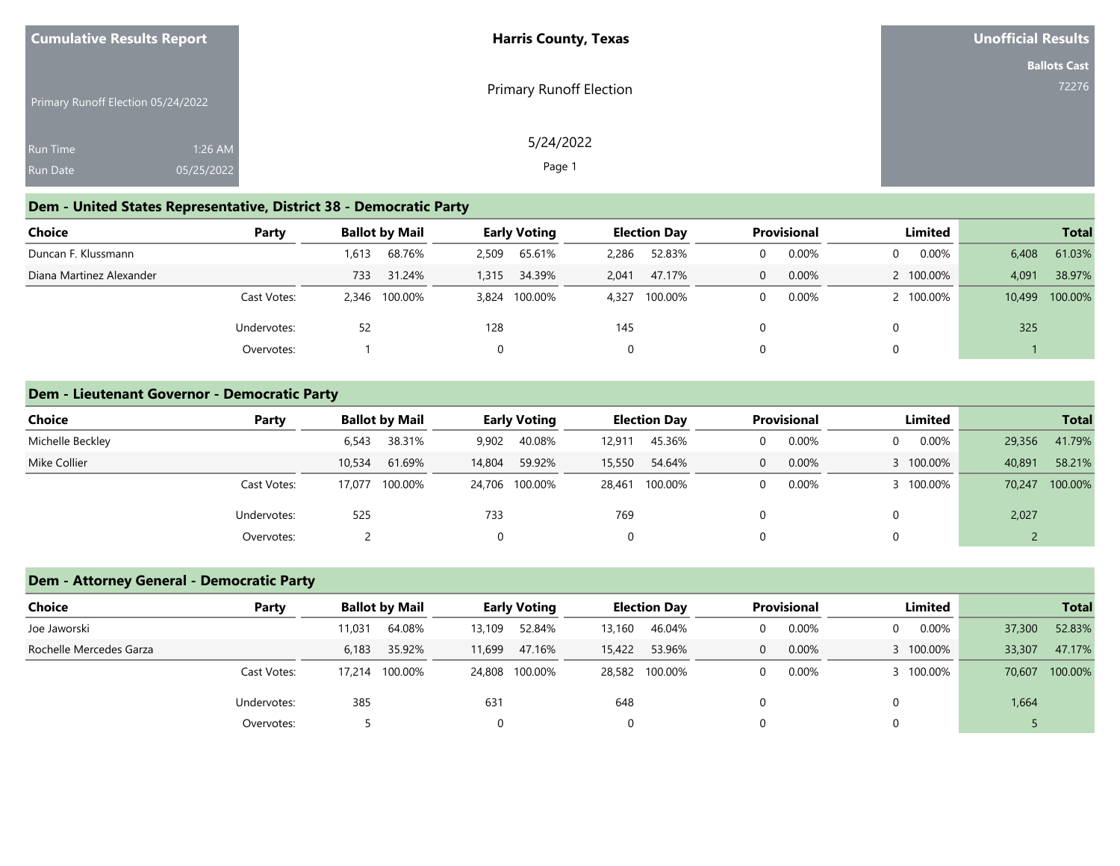| <b>Cumulative Results Report</b>   |            | <b>Harris County, Texas</b>    | Unofficial Results  |
|------------------------------------|------------|--------------------------------|---------------------|
|                                    |            |                                | <b>Ballots Cast</b> |
| Primary Runoff Election 05/24/2022 |            | <b>Primary Runoff Election</b> | 72276               |
| Run Time                           | 1:26 AM    | 5/24/2022                      |                     |
| <b>Run Date</b>                    | 05/25/2022 | Page 1                         |                     |

### **Dem - United States Representative, District 38 - Democratic Party**

| <b>Choice</b>            | Party       |       | <b>Ballot by Mail</b> |       | <b>Early Voting</b> |       | <b>Election Day</b> | <b>Provisional</b> |          | Limited   |       | <b>Total</b>   |
|--------------------------|-------------|-------|-----------------------|-------|---------------------|-------|---------------------|--------------------|----------|-----------|-------|----------------|
| Duncan F. Klussmann      |             | .613  | 68.76%                | 2,509 | 65.61%              | 2,286 | 52.83%              | 0.00%              | $\Omega$ | 0.00%     | 6,408 | 61.03%         |
| Diana Martinez Alexander |             | 733   | 31.24%                | 1,315 | 34.39%              | 2.041 | 47.17%              | 0.00%              |          | 2 100,00% | 4,091 | 38.97%         |
|                          | Cast Votes: | 2,346 | 100.00%               |       | 3,824 100.00%       | 4,327 | 100.00%             | 0.00%              |          | 2 100.00% |       | 10,499 100.00% |
|                          | Undervotes: | 52    |                       | 128   |                     | 145   |                     |                    |          |           | 325   |                |
|                          | Overvotes:  |       |                       |       |                     | 0     |                     |                    |          |           |       |                |

### **Dem - Lieutenant Governor - Democratic Party**

| Choice           | Party       |        | <b>Ballot by Mail</b> |                  | <b>Early Voting</b> |        | <b>Election Day</b> |   | <b>Provisional</b> |           | Limited   |        | <b>Total</b> |
|------------------|-------------|--------|-----------------------|------------------|---------------------|--------|---------------------|---|--------------------|-----------|-----------|--------|--------------|
| Michelle Beckley |             | 6,543  | 38.31%                | 9,902            | 40.08%              | 12,911 | 45.36%              |   | 0.00%              | 0         | 0.00%     | 29,356 | 41.79%       |
| Mike Collier     |             | 10,534 | 61.69%                | 59.92%<br>14,804 |                     | 15,550 | 54.64%              | 0 | 0.00%              | 3 100.00% |           | 40,891 | 58.21%       |
|                  | Cast Votes: | 17,077 | 100.00%               |                  | 24,706 100.00%      | 28,461 | 100.00%             |   | 0.00%              |           | 3 100.00% | 70,247 | 100.00%      |
|                  | Undervotes: | 525    |                       | 733              |                     | 769    |                     |   |                    | 0         |           | 2,027  |              |
|                  | Overvotes:  |        |                       |                  |                     | 0      |                     |   |                    | 0         |           |        |              |

### **Dem - Attorney General - Democratic Party**

| <b>Choice</b>           | Party       |        | <b>Ballot by Mail</b> |        | <b>Early Voting</b> |        | <b>Election Day</b> | <b>Provisional</b> |   | Limited  |        | <b>Total</b> |
|-------------------------|-------------|--------|-----------------------|--------|---------------------|--------|---------------------|--------------------|---|----------|--------|--------------|
| Joe Jaworski            |             | 11,031 | 64.08%                | 13,109 | 52.84%              | 13,160 | 46.04%              | 0.00%              | 0 | $0.00\%$ | 37,300 | 52.83%       |
| Rochelle Mercedes Garza |             | 6,183  | 35.92%                | 11,699 | 47.16%              | 15,422 | 53.96%              | 0.00%              |   | 100.00%  | 33,307 | 47.17%       |
|                         | Cast Votes: |        | 100.00%               |        | 24,808 100.00%      |        | 28,582 100.00%      | 0.00%              |   | 100.00%  | 70,607 | 100.00%      |
|                         | Undervotes: | 385    |                       | 631    |                     | 648    |                     |                    |   |          | 1,664  |              |
|                         | Overvotes:  |        |                       |        |                     | 0      |                     |                    |   |          |        |              |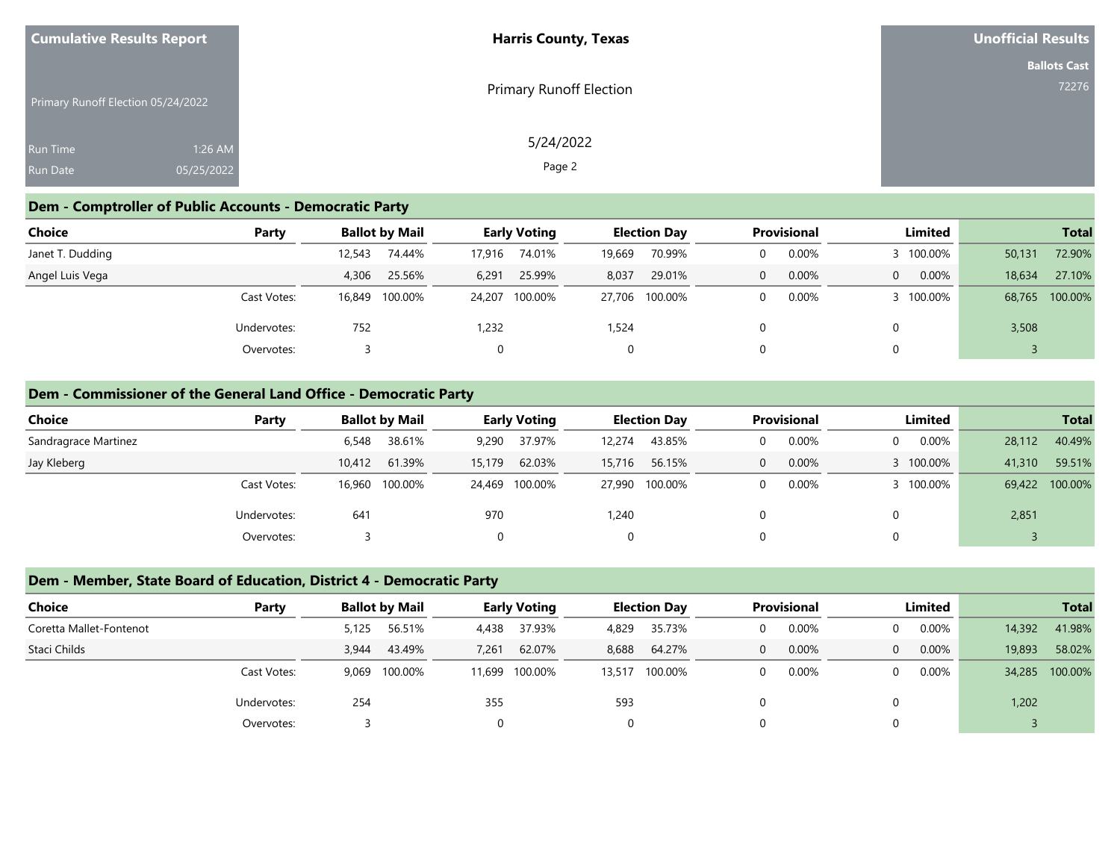| <b>Cumulative Results Report</b>   |            | <b>Harris County, Texas</b> | <b>Unofficial Results</b> |
|------------------------------------|------------|-----------------------------|---------------------------|
|                                    |            |                             | <b>Ballots Cast</b>       |
| Primary Runoff Election 05/24/2022 |            | Primary Runoff Election     | 72276                     |
| <b>Run Time</b>                    | 1:26 AM    | 5/24/2022                   |                           |
| <b>Run Date</b>                    | 05/25/2022 | Page 2                      |                           |

### **Dem - Comptroller of Public Accounts - Democratic Party**

| Choice           | Party       |        | <b>Ballot by Mail</b> |        | <b>Early Voting</b> |        | <b>Election Day</b> |  | <b>Provisional</b> |          | Limited   |        | <b>Total</b>   |
|------------------|-------------|--------|-----------------------|--------|---------------------|--------|---------------------|--|--------------------|----------|-----------|--------|----------------|
| Janet T. Dudding |             | 12,543 | 74.44%                | 17,916 | 74.01%              | 19,669 | 70.99%              |  | 0.00%              |          | 3 100.00% | 50,131 | 72.90%         |
| Angel Luis Vega  |             | 4,306  | 25.56%                | 6,291  | 25.99%              | 8,037  | 29.01%              |  | 0.00%              | $\Omega$ | $0.00\%$  | 18,634 | 27.10%         |
|                  | Cast Votes: | 16,849 | 100.00%               |        | 24,207 100.00%      | 27.706 | 100.00%             |  | 0.00%              |          | 3 100.00% |        | 68,765 100.00% |
|                  | Undervotes: | 752    |                       | 1,232  |                     | 1,524  |                     |  |                    |          |           | 3,508  |                |
|                  | Overvotes:  |        |                       |        |                     | 0      |                     |  |                    |          |           |        |                |

### **Dem - Commissioner of the General Land Office - Democratic Party**

| Choice               | Party       |        | <b>Ballot by Mail</b> |          | <b>Early Voting</b> |        | <b>Election Day</b> |   | <b>Provisional</b> |          | Limited   |        | <b>Total</b> |
|----------------------|-------------|--------|-----------------------|----------|---------------------|--------|---------------------|---|--------------------|----------|-----------|--------|--------------|
| Sandragrace Martinez |             | 6,548  | 38.61%                | 9,290    | 37.97%              | 12.274 | 43.85%              |   | 0.00%              | $\Omega$ | $0.00\%$  | 28,112 | 40.49%       |
| Jay Kleberg          |             | 10,412 | 61.39%                | 15,179   | 62.03%              | 15,716 | 56.15%              | 0 | 0.00%              |          | 3 100.00% | 41,310 | 59.51%       |
|                      | Cast Votes: |        | 16,960 100.00%        |          | 24,469 100.00%      |        | 27,990 100.00%      |   | 0.00%              |          | 3 100.00% | 69,422 | 100.00%      |
|                      | Undervotes: | 641    |                       | 970      |                     | 1,240  |                     |   |                    |          |           | 2,851  |              |
|                      | Overvotes:  |        |                       | $\Omega$ |                     | 0      |                     |   |                    | 0        |           |        |              |

### **Dem - Member, State Board of Education, District 4 - Democratic Party**

| <b>Choice</b>           | Party       |       | <b>Ballot by Mail</b> |        | <b>Early Voting</b> |        | <b>Election Day</b> |          | <b>Provisional</b> |          | Limited  |        | <b>Total</b>   |
|-------------------------|-------------|-------|-----------------------|--------|---------------------|--------|---------------------|----------|--------------------|----------|----------|--------|----------------|
| Coretta Mallet-Fontenot |             | 5,125 | 56.51%                | 4,438  | 37.93%              | 4,829  | 35.73%              | 0        | 0.00%              | $\Omega$ | 0.00%    | 14,392 | 41.98%         |
| Staci Childs            |             | 3.944 | 43.49%                | 7,261  | 62.07%              | 8,688  | 64.27%              | $\Omega$ | 0.00%              | $\Omega$ | 0.00%    | 19,893 | 58.02%         |
|                         | Cast Votes: | 9.069 | 100.00%               | 11,699 | 100.00%             | 13,517 | 100.00%             | 0        | $0.00\%$           | $\Omega$ | $0.00\%$ |        | 34,285 100.00% |
|                         | Undervotes: | 254   |                       | 355    |                     | 593    |                     |          |                    |          |          | 1,202  |                |
|                         | Overvotes:  |       |                       |        |                     |        |                     |          |                    | $\Omega$ |          |        |                |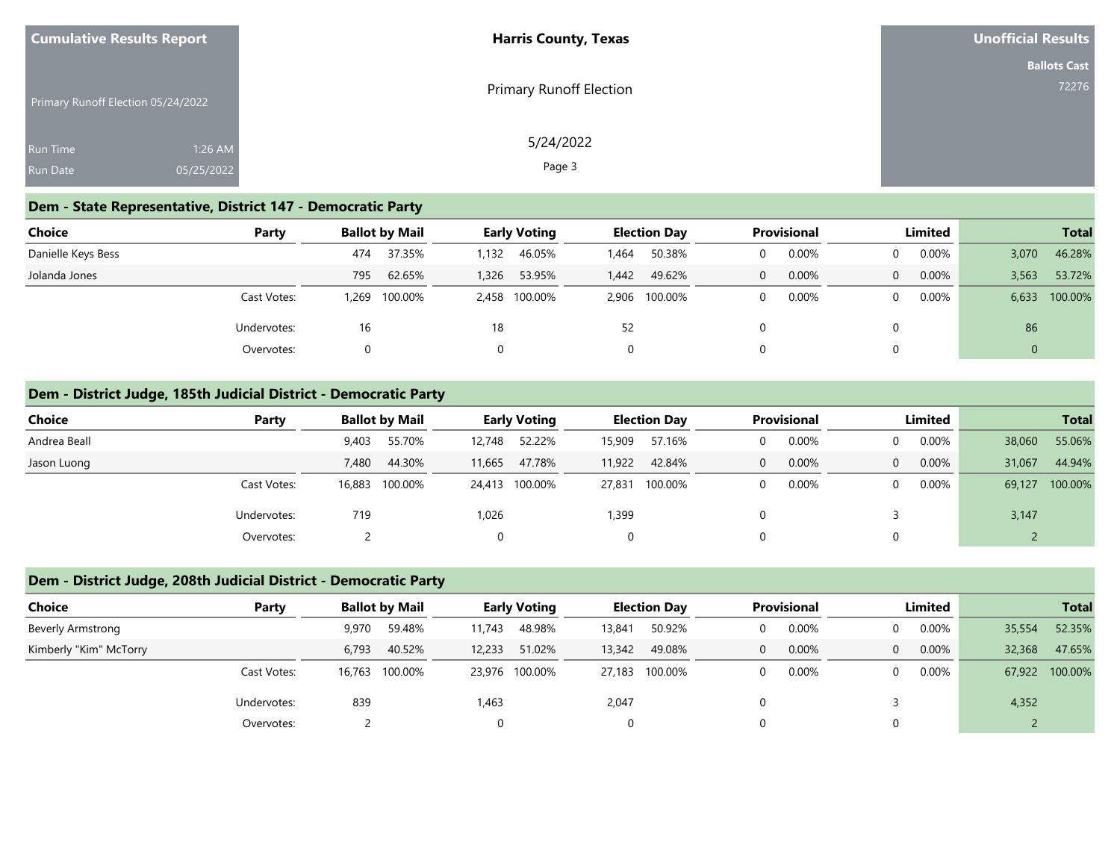| <b>Cumulative Results Report</b>   |            | <b>Harris County, Texas</b> | Unofficial Results  |
|------------------------------------|------------|-----------------------------|---------------------|
|                                    |            |                             | <b>Ballots Cast</b> |
| Primary Runoff Election 05/24/2022 |            | Primary Runoff Election     | 72276               |
| <b>Run Time</b>                    | 1:26 AM    | 5/24/2022                   |                     |
| <b>Run Date</b>                    | 05/25/2022 | Page 3                      |                     |

### **Dem - State Representative, District 147 - Democratic Party**

| Choice             | Party       |      | <b>Ballot by Mail</b> |       | <b>Early Voting</b> |             | <b>Election Day</b> |          | <b>Provisional</b> |  | Limited  |              | <b>Total</b>  |
|--------------------|-------------|------|-----------------------|-------|---------------------|-------------|---------------------|----------|--------------------|--|----------|--------------|---------------|
| Danielle Keys Bess |             | 474  | 37.35%                | 1,132 | 46.05%              | <b>.464</b> | 50.38%              | $\Omega$ | $0.00\%$           |  | $0.00\%$ | 3,070        | 46.28%        |
| Jolanda Jones      |             | 795  | 62.65%                | 1,326 | 53.95%              | 1,442       | 49.62%              | $\Omega$ | $0.00\%$           |  | 0.00%    | 3,563        | 53.72%        |
|                    | Cast Votes: | .269 | 100.00%               |       | 2,458 100.00%       |             | 2,906 100.00%       | $\Omega$ | $0.00\%$           |  | $0.00\%$ |              | 6,633 100.00% |
|                    | Undervotes: | 16   |                       | 18    |                     | 52          |                     |          |                    |  |          | 86           |               |
|                    | Overvotes:  | 0    |                       | 0     |                     |             |                     |          |                    |  |          | $\mathbf{0}$ |               |

### **Dem - District Judge, 185th Judicial District - Democratic Party**

| Choice       | Party                 | <b>Ballot by Mail</b> |        | <b>Early Voting</b> |        | <b>Election Day</b> | <b>Provisional</b> |          | Limited |        | <b>Total</b> |
|--------------|-----------------------|-----------------------|--------|---------------------|--------|---------------------|--------------------|----------|---------|--------|--------------|
| Andrea Beall |                       | 55.70%<br>9,403       | 12,748 | 52.22%              | 15,909 | 57.16%              | 0.00%              | 0        | 0.00%   | 38,060 | 55.06%       |
| Jason Luong  |                       | 44.30%<br>7.480       | 11.665 | 47.78%              | 11,922 | 42.84%              | 0.00%              | $\Omega$ | 0.00%   | 31,067 | 44.94%       |
|              | Cast Votes:<br>16,883 | 100.00%               |        | 24,413 100.00%      |        | 27,831 100.00%      | 0.00%              | $\Omega$ | 0.00%   | 69,127 | 100.00%      |
|              | Undervotes:           | 719                   | 1,026  |                     | 1,399  |                     |                    |          |         | 3,147  |              |
|              | Overvotes:            |                       |        |                     | 0      |                     |                    | 0        |         |        |              |

# **Dem - District Judge, 208th Judicial District - Democratic Party**

| <b>Choice</b>            | Party              |        | <b>Ballot by Mail</b> |        | <b>Early Voting</b> |        | <b>Election Day</b> |                | <b>Provisional</b> |          | Limited  |        | <b>Total</b>   |
|--------------------------|--------------------|--------|-----------------------|--------|---------------------|--------|---------------------|----------------|--------------------|----------|----------|--------|----------------|
| <b>Beverly Armstrong</b> |                    | 9,970  | 59.48%                | 11,743 | 48.98%              | 13,841 | 50.92%              |                | 0.00%              | $\Omega$ | $0.00\%$ | 35,554 | 52.35%         |
| Kimberly "Kim" McTorry   |                    | 6.793  | 40.52%                | 12,233 | 51.02%              | 13,342 | 49.08%              | $\overline{0}$ | $0.00\%$           | $\Omega$ | $0.00\%$ | 32,368 | 47.65%         |
|                          | Cast Votes:        | 16.763 | 100.00%               |        | 23,976 100.00%      | 27,183 | 100.00%             | $\Omega$       | 0.00%              | $\Omega$ | $0.00\%$ |        | 67,922 100.00% |
|                          | 839<br>Undervotes: |        |                       | 1,463  |                     | 2,047  |                     |                |                    |          |          | 4,352  |                |
|                          | Overvotes:         |        |                       |        |                     |        |                     |                |                    |          |          |        |                |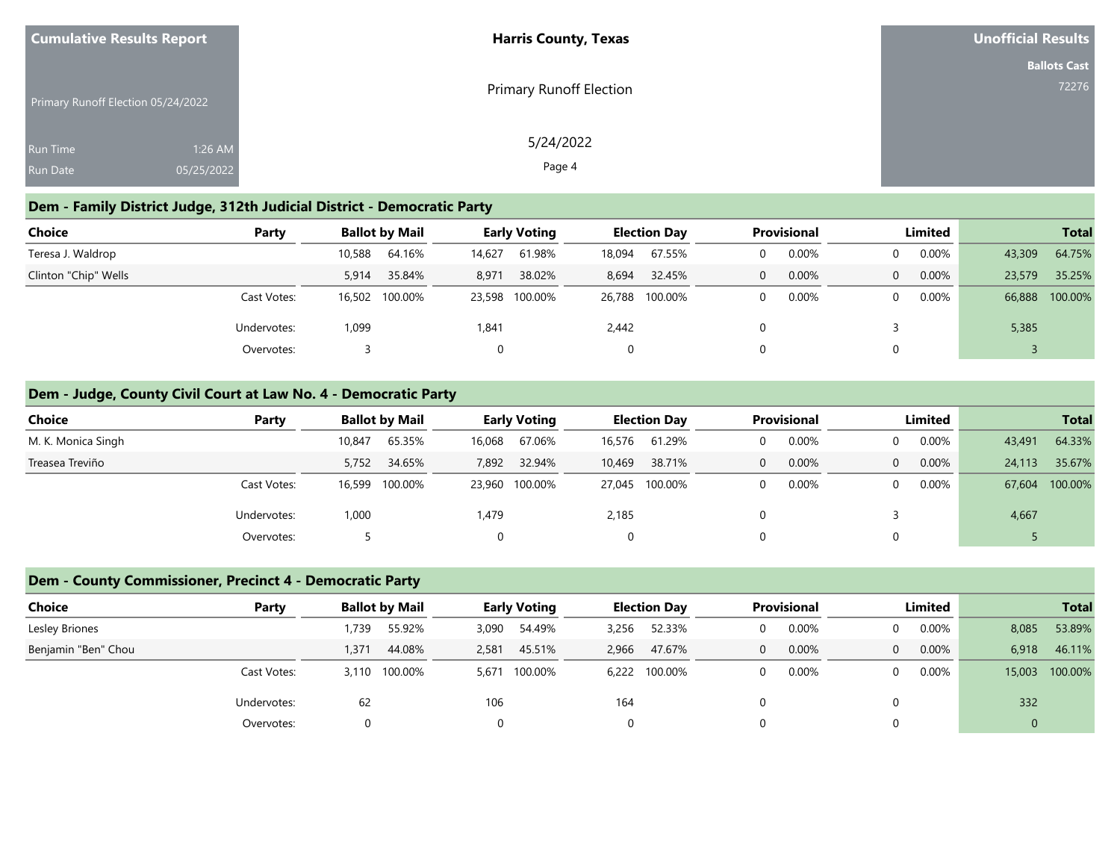| <b>Cumulative Results Report</b>   |            | <b>Harris County, Texas</b>    | <b>Unofficial Results</b> |
|------------------------------------|------------|--------------------------------|---------------------------|
|                                    |            |                                | <b>Ballots Cast</b>       |
| Primary Runoff Election 05/24/2022 |            | <b>Primary Runoff Election</b> | 72276                     |
| <b>Run Time</b>                    | 1:26 AM    | 5/24/2022                      |                           |
| <b>Run Date</b>                    | 05/25/2022 | Page 4                         |                           |

### **Dem - Family District Judge, 312th Judicial District - Democratic Party**

| Choice               | Party       |        | <b>Ballot by Mail</b> |        | <b>Early Voting</b> |        | <b>Election Day</b> | <b>Provisional</b> |          | Limited        |          | <b>Total</b> |                |
|----------------------|-------------|--------|-----------------------|--------|---------------------|--------|---------------------|--------------------|----------|----------------|----------|--------------|----------------|
| Teresa J. Waldrop    |             | 10,588 | 64.16%                | 14,627 | 61.98%              | 18,094 | 67.55%              |                    | 0.00%    |                | $0.00\%$ | 43,309       | 64.75%         |
| Clinton "Chip" Wells |             | 5,914  | 35.84%                | 8,971  | 38.02%              | 8,694  | 32.45%              | 0                  | $0.00\%$ | $\overline{0}$ | $0.00\%$ | 23,579       | 35.25%         |
|                      | Cast Votes: |        | 16,502 100.00%        |        | 23,598 100.00%      |        | 26,788 100.00%      |                    | 0.00%    |                | $0.00\%$ |              | 66,888 100.00% |
|                      | Undervotes: | 1,099  |                       | 1,841  |                     | 2,442  |                     |                    |          |                |          | 5,385        |                |
|                      | Overvotes:  |        |                       |        |                     |        |                     |                    |          |                |          |              |                |

### **Dem - Judge, County Civil Court at Law No. 4 - Democratic Party**

| Choice             | Party       | <b>Ballot by Mail</b> |         |        | <b>Early Voting</b> |        | <b>Election Day</b> |          | <b>Provisional</b> | Limited  |          |        | <b>Total</b> |
|--------------------|-------------|-----------------------|---------|--------|---------------------|--------|---------------------|----------|--------------------|----------|----------|--------|--------------|
| M. K. Monica Singh |             | 10,847                | 65.35%  | 16,068 | 67.06%              | 16,576 | 61.29%              |          | 0.00%              | $\Omega$ | $0.00\%$ | 43,491 | 64.33%       |
| Treasea Treviño    |             | 5,752 34.65%          |         | 7,892  | 32.94%              | 10,469 | 38.71%              | $\Omega$ | 0.00%              | $\Omega$ | 0.00%    | 24,113 | 35.67%       |
|                    | Cast Votes: | 16,599                | 100.00% |        | 23,960 100.00%      |        | 27,045 100.00%      |          | 0.00%              | $\Omega$ | $0.00\%$ | 67,604 | 100.00%      |
|                    | Undervotes: | 1,000                 |         | 1,479  |                     | 2,185  |                     |          |                    |          |          | 4,667  |              |
|                    | Overvotes:  |                       |         |        |                     | 0      |                     |          |                    | 0        |          |        |              |

### **Dem - County Commissioner, Precinct 4 - Democratic Party**

| <b>Choice</b>       | Party           | <b>Ballot by Mail</b> |         | <b>Early Voting</b> |         | <b>Election Day</b> |               | <b>Provisional</b> |       | Limited        |                |       | <b>Total</b>   |
|---------------------|-----------------|-----------------------|---------|---------------------|---------|---------------------|---------------|--------------------|-------|----------------|----------------|-------|----------------|
| Lesley Briones      |                 | 739،۱                 | 55.92%  | 3,090               | 54.49%  | 3,256               | 52.33%        | $\Omega$           | 0.00% | $\Omega$       | $0.00\%$       | 8,085 | 53.89%         |
| Benjamin "Ben" Chou |                 | 1,371                 | 44.08%  | 2,581               | 45.51%  | 2,966               | 47.67%        | $\mathbf{0}$       | 0.00% | $\overline{0}$ | 0.00%          | 6,918 | 46.11%         |
|                     | Cast Votes:     | 3,110                 | 100.00% | 5.671               | 100.00% |                     | 6,222 100.00% | $\Omega$           | 0.00% | $\Omega$       | $0.00\%$       |       | 15,003 100.00% |
|                     | Undervotes:     | 62                    |         | 106                 |         | 164                 |               |                    |       |                |                | 332   |                |
|                     | Overvotes:<br>O |                       |         |                     |         |                     |               |                    |       |                | $\overline{0}$ |       |                |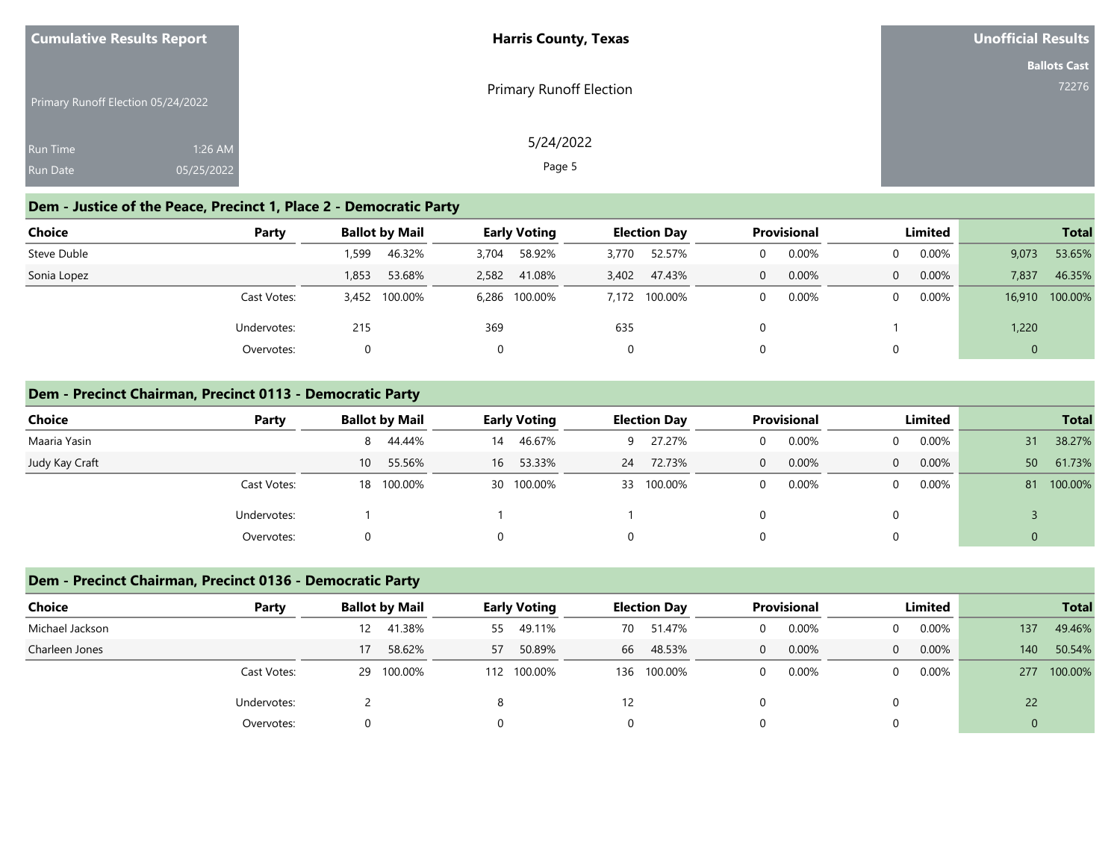| <b>Cumulative Results Report</b>   | <b>Harris County, Texas</b> | Unofficial Results  |
|------------------------------------|-----------------------------|---------------------|
|                                    |                             | <b>Ballots Cast</b> |
| Primary Runoff Election 05/24/2022 | Primary Runoff Election     | 72276               |
| 1:26 AM<br>Run Time                | 5/24/2022                   |                     |
| 05/25/2022<br><b>Run Date</b>      | Page 5                      |                     |

# **Dem - Justice of the Peace, Precinct 1, Place 2 - Democratic Party**

| Choice      | Party       |       | <b>Ballot by Mail</b> |       | <b>Early Voting</b> |       | <b>Election Day</b> |          | <b>Provisional</b> |  | Limited  |              |                |  | <b>Total</b> |
|-------------|-------------|-------|-----------------------|-------|---------------------|-------|---------------------|----------|--------------------|--|----------|--------------|----------------|--|--------------|
| Steve Duble |             | ,599  | 46.32%                | 3,704 | 58.92%              | 3,770 | 52.57%              | $\Omega$ | 0.00%              |  | $0.00\%$ | 9,073        | 53.65%         |  |              |
| Sonia Lopez |             | 1,853 | 53.68%                | 2,582 | 41.08%              | 3,402 | 47.43%              | $\Omega$ | 0.00%              |  | 0.00%    | 7,837        | 46.35%         |  |              |
|             | Cast Votes: |       | 3,452 100.00%         |       | 6,286 100.00%       |       | 7,172 100.00%       | $\Omega$ | 0.00%              |  | $0.00\%$ |              | 16,910 100.00% |  |              |
|             | Undervotes: | 215   |                       | 369   |                     | 635   |                     |          |                    |  |          | 1,220        |                |  |              |
|             | Overvotes:  | 0     |                       |       |                     |       |                     |          |                    |  |          | $\mathbf{0}$ |                |  |              |

#### **Dem - Precinct Chairman, Precinct 0113 - Democratic Party**

| <b>Choice</b>  | Party       | <b>Ballot by Mail</b>     | <b>Early Voting</b> | <b>Election Day</b> | <b>Provisional</b> | <b>Limited</b>             | <b>Total</b>  |
|----------------|-------------|---------------------------|---------------------|---------------------|--------------------|----------------------------|---------------|
| Maaria Yasin   |             | 44.44%<br>8               | 46.67%<br>14        | 27.27%<br>9         | 0.00%              | $0.00\%$<br>$\Omega$       | 38.27%<br>31  |
| Judy Kay Craft |             | 55.56%<br>10 <sup>1</sup> | 53.33%<br>16        | 72.73%<br>24        | 0.00%<br>$\Omega$  | $0.00\%$<br>$\overline{0}$ | 61.73%<br>50  |
|                | Cast Votes: | 18 100.00%                | 30 100.00%          | 33 100.00%          | 0.00%              | $0.00\%$<br>$\mathbf{0}$   | 100.00%<br>81 |
|                | Undervotes: |                           |                     |                     |                    |                            |               |
|                | Overvotes:  |                           |                     | Ü                   |                    |                            |               |

### **Dem - Precinct Chairman, Precinct 0136 - Democratic Party**

| Choice          | Party       |                 | <b>Ballot by Mail</b> | <b>Early Voting</b> |             | <b>Election Day</b> |             | <b>Provisional</b> |       | Limited  |       |                  | <b>Total</b> |
|-----------------|-------------|-----------------|-----------------------|---------------------|-------------|---------------------|-------------|--------------------|-------|----------|-------|------------------|--------------|
| Michael Jackson |             | 12 <sup>2</sup> | 41.38%                | 55                  | 49.11%      | 70                  | 51.47%      | 0                  | 0.00% | $\Omega$ | 0.00% | 137              | 49.46%       |
| Charleen Jones  |             | 17              | 58.62%                | 57                  | 50.89%      | 66                  | 48.53%      | $\Omega$           | 0.00% | $\Omega$ | 0.00% | 140 <sup>°</sup> | 50.54%       |
|                 | Cast Votes: | 29              | 100.00%               |                     | 112 100.00% |                     | 136 100.00% |                    | 0.00% | $\Omega$ | 0.00% |                  | 277 100.00%  |
|                 | Undervotes: |                 |                       |                     |             | 12                  |             |                    |       |          |       | 22               |              |
|                 | Overvotes:  |                 |                       |                     |             |                     |             |                    |       |          |       | $\mathbf{0}$     |              |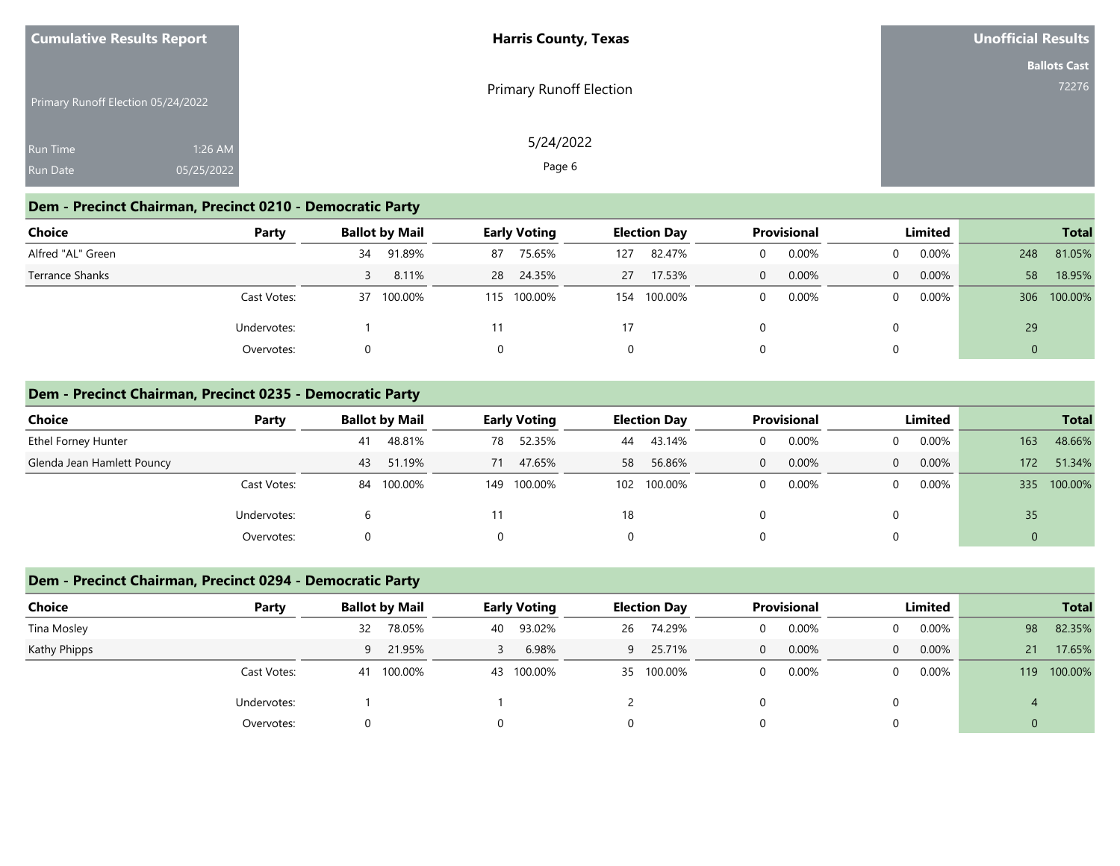| <b>Cumulative Results Report</b>   |            | <b>Harris County, Texas</b>    | Unofficial Results  |
|------------------------------------|------------|--------------------------------|---------------------|
|                                    |            |                                | <b>Ballots Cast</b> |
| Primary Runoff Election 05/24/2022 |            | <b>Primary Runoff Election</b> | 72276               |
| <b>Run Time</b>                    | 1:26 AM    | 5/24/2022                      |                     |
| <b>Run Date</b>                    | 05/25/2022 | Page 6                         |                     |

### **Dem - Precinct Chairman, Precinct 0210 - Democratic Party**

| <b>Choice</b>     | Party       |    | <b>Ballot by Mail</b> | <b>Early Voting</b> |           | <b>Election Day</b> |         | <b>Provisional</b> |       | Limited |          |     |             |
|-------------------|-------------|----|-----------------------|---------------------|-----------|---------------------|---------|--------------------|-------|---------|----------|-----|-------------|
| Alfred "AL" Green |             | 34 | 91.89%                | 87                  | 75.65%    | 127                 | 82.47%  | $\Omega$           | 0.00% |         | $0.00\%$ | 248 | 81.05%      |
| Terrance Shanks   |             |    | 8.11%                 |                     | 28 24.35% | 27                  | 17.53%  | $\mathbf{0}$       | 0.00% |         | 0.00%    | 58  | 18.95%      |
|                   | Cast Votes: | 37 | 100.00%               | 115                 | 100.00%   | 154                 | 100.00% | $\Omega$           | 0.00% |         | $0.00\%$ |     | 306 100.00% |
|                   | Undervotes: |    |                       |                     |           | 17                  |         |                    |       |         |          | 29  |             |
|                   | Overvotes:  |    |                       |                     |           |                     |         |                    |       |         |          |     |             |

#### **Dem - Precinct Chairman, Precinct 0235 - Democratic Party**

| Choice                     | Party       | <b>Ballot by Mail</b> | <b>Early Voting</b> | <b>Election Day</b> | <b>Provisional</b> | Limited              | <b>Total</b>   |
|----------------------------|-------------|-----------------------|---------------------|---------------------|--------------------|----------------------|----------------|
| Ethel Forney Hunter        |             | 48.81%<br>41          | 52.35%<br>78        | 43.14%<br>44        | 0.00%              | $0.00\%$<br>$\Omega$ | 48.66%<br>163  |
| Glenda Jean Hamlett Pouncy |             | 51.19%<br>43          | 47.65%<br>71        | 56.86%<br>58        | 0.00%<br>$\Omega$  | $0.00\%$<br>$\Omega$ | 51.34%<br>172  |
|                            | Cast Votes: | 84 100.00%            | 149 100.00%         | 100.00%<br>102      | 0.00%              | 0.00%<br>$\Omega$    | 100.00%<br>335 |
|                            | Undervotes: | h                     |                     | 18                  |                    |                      | 35             |
|                            | Overvotes:  |                       | $\Omega$            | 0                   |                    | 0                    |                |

### **Dem - Precinct Chairman, Precinct 0294 - Democratic Party**

| <b>Choice</b> | Party       |          | <b>Ballot by Mail</b> | <b>Early Voting</b> |            | <b>Election Day</b> |            | <b>Provisional</b> |       | Limited        |          |              | <b>Total</b> |
|---------------|-------------|----------|-----------------------|---------------------|------------|---------------------|------------|--------------------|-------|----------------|----------|--------------|--------------|
| Tina Mosley   |             | 32       | 78.05%                | 40                  | 93.02%     | 26                  | 74.29%     |                    | 0.00% | $\Omega$       | $0.00\%$ | 98           | 82.35%       |
| Kathy Phipps  |             |          | 9 21.95%              |                     | 6.98%      | $\overline{9}$      | 25.71%     | $\Omega$           | 0.00% | $\overline{0}$ | 0.00%    | 21           | 17.65%       |
|               | Cast Votes: | 41       | 100.00%               |                     | 43 100.00% |                     | 35 100.00% |                    | 0.00% | $\Omega$       | $0.00\%$ |              | 119 100.00%  |
|               | Undervotes: |          |                       |                     |            |                     |            |                    |       | 0              |          |              |              |
|               | Overvotes:  | $\Omega$ |                       |                     |            |                     |            |                    |       | 0              |          | $\mathbf{0}$ |              |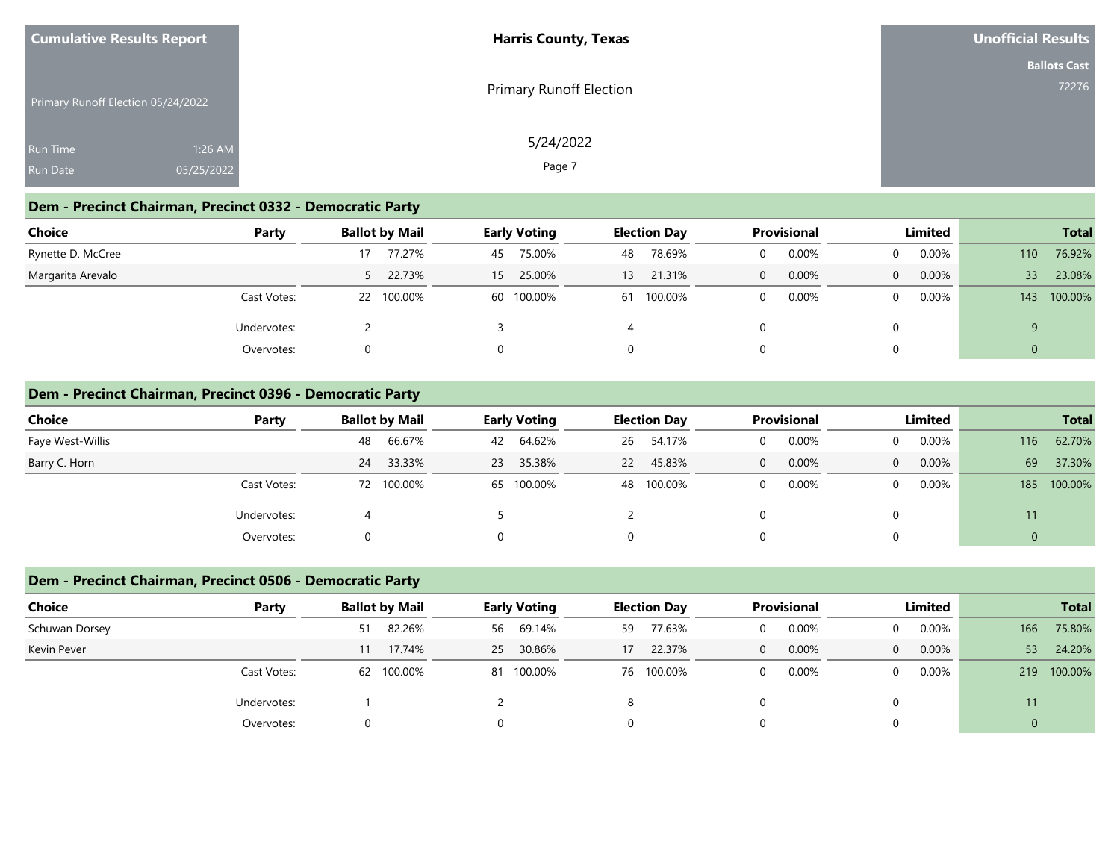| <b>Cumulative Results Report</b>   |            | <b>Harris County, Texas</b> | Unofficial Results  |  |  |
|------------------------------------|------------|-----------------------------|---------------------|--|--|
|                                    |            |                             | <b>Ballots Cast</b> |  |  |
| Primary Runoff Election 05/24/2022 |            | Primary Runoff Election     | 72276               |  |  |
| <b>Run Time</b>                    | 1:26 AM    | 5/24/2022                   |                     |  |  |
| <b>Run Date</b>                    | 05/25/2022 | Page 7                      |                     |  |  |

### **Dem - Precinct Chairman, Precinct 0332 - Democratic Party**

| <b>Choice</b>     | Party       | <b>Ballot by Mail</b> | <b>Early Voting</b>       | <b>Election Day</b> | <b>Provisional</b> | Limited              | <b>Total</b>              |
|-------------------|-------------|-----------------------|---------------------------|---------------------|--------------------|----------------------|---------------------------|
| Rynette D. McCree |             | 77.27%<br>17          | 75.00%<br>45              | 78.69%<br>48        | 0.00%              | $0.00\%$<br>$\Omega$ | 76.92%<br>110             |
| Margarita Arevalo |             | 5 22.73%              | 25.00%<br>15 <sup>1</sup> | 21.31%<br>13        | 0.00%              | $0.00\%$<br>$\Omega$ | 23.08%<br>33 <sup>°</sup> |
|                   | Cast Votes: | 22 100.00%            | 60 100.00%                | 100.00%<br>61       | 0.00%              | $0.00\%$<br>$\Omega$ | 100.00%<br>143            |
|                   | Undervotes: |                       |                           |                     |                    |                      | q                         |
|                   | Overvotes:  |                       |                           | 0                   |                    | $\Omega$             | $\mathbf{0}$              |

#### **Dem - Precinct Chairman, Precinct 0396 - Democratic Party**

| Choice           | Party       | <b>Ballot by Mail</b> | <b>Early Voting</b> | <b>Election Day</b> | <b>Provisional</b> | Limited              | <b>Total</b>   |
|------------------|-------------|-----------------------|---------------------|---------------------|--------------------|----------------------|----------------|
| Faye West-Willis |             | 66.67%<br>48          | 64.62%<br>42        | 54.17%<br>26        | 0.00%              | $0.00\%$<br>$\Omega$ | 62.70%<br>116  |
| Barry C. Horn    |             | 33.33%<br>24          | 35.38%<br>23        | 45.83%<br><b>22</b> | 0.00%<br>0         | 0.00%<br>$\Omega$    | 69<br>37.30%   |
|                  | Cast Votes: | 72 100.00%            | 65 100.00%          | 48 100.00%          | 0.00%              | 0.00%<br>$\Omega$    | 100.00%<br>185 |
|                  | Undervotes: |                       |                     |                     |                    | 0                    | 11             |
|                  | Overvotes:  | 0                     | 0                   | 0                   |                    | 0                    | 0              |

## **Dem - Precinct Chairman, Precinct 0506 - Democratic Party**

| <b>Choice</b>  | Party       |          | <b>Ballot by Mail</b> |    | <b>Early Voting</b> |    | <b>Election Day</b> | <b>Provisional</b> |              | Limited  |     | <b>Total</b> |
|----------------|-------------|----------|-----------------------|----|---------------------|----|---------------------|--------------------|--------------|----------|-----|--------------|
| Schuwan Dorsey |             | 51       | 82.26%                | 56 | 69.14%              | 59 | 77.63%              | 0.00%              | $\Omega$     | $0.00\%$ | 166 | 75.80%       |
| Kevin Pever    |             | 11       | 17.74%                | 25 | 30.86%              | 17 | 22.37%              | 0.00%              | $\mathbf{0}$ | $0.00\%$ | 53  | 24.20%       |
|                | Cast Votes: | 62       | 100.00%               |    | 81 100.00%          |    | 76 100.00%          | 0.00%              | $\Omega$     | $0.00\%$ | 219 | 100.00%      |
|                | Undervotes: |          |                       |    |                     |    |                     |                    |              |          | 11  |              |
|                | Overvotes:  | $\Omega$ |                       |    |                     |    |                     |                    |              |          | 0   |              |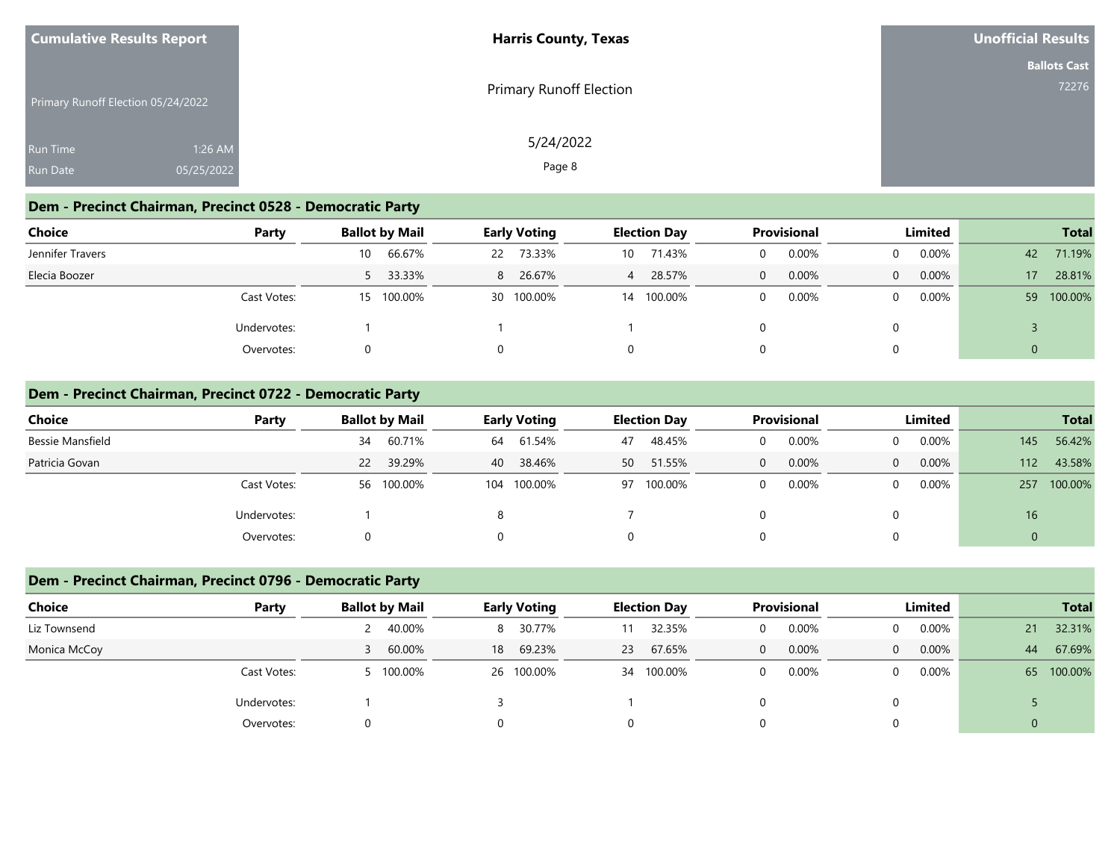| <b>Cumulative Results Report</b>   |            | <b>Harris County, Texas</b>    | Unofficial Results  |  |  |
|------------------------------------|------------|--------------------------------|---------------------|--|--|
|                                    |            |                                | <b>Ballots Cast</b> |  |  |
| Primary Runoff Election 05/24/2022 |            | <b>Primary Runoff Election</b> | 72276               |  |  |
| <b>Run Time</b>                    | 1:26 AM    | 5/24/2022                      |                     |  |  |
| <b>Run Date</b>                    | 05/25/2022 | Page 8                         |                     |  |  |

### **Dem - Precinct Chairman, Precinct 0528 - Democratic Party**

| Choice           | Party       |    | <b>Ballot by Mail</b> |   | <b>Early Voting</b> |                | <b>Election Day</b> |          | <b>Provisional</b> |                | Limited  |                | <b>Total</b> |
|------------------|-------------|----|-----------------------|---|---------------------|----------------|---------------------|----------|--------------------|----------------|----------|----------------|--------------|
| Jennifer Travers |             | 10 | 66.67%                |   | 22 73.33%           | 10             | 71.43%              | 0        | 0.00%              | $\mathbf{0}$   | $0.00\%$ | 42             | 71.19%       |
| Elecia Boozer    |             |    | 5 33.33%              | 8 | 26.67%              | $\overline{4}$ | 28.57%              | $\Omega$ | 0.00%              | $\overline{0}$ | $0.00\%$ | 17             | 28.81%       |
|                  | Cast Votes: | 15 | 100.00%               |   | 30 100.00%          | 14             | 100.00%             | $\Omega$ | 0.00%              | $\Omega$       | $0.00\%$ |                | 59 100.00%   |
|                  | Undervotes: |    |                       |   |                     |                |                     |          |                    |                |          |                |              |
|                  | Overvotes:  |    |                       |   |                     | 0              |                     |          |                    |                |          | $\overline{0}$ |              |

#### **Dem - Precinct Chairman, Precinct 0722 - Democratic Party**

| Choice           | Party       | <b>Ballot by Mail</b> | <b>Early Voting</b> | <b>Election Day</b> | <b>Provisional</b> | Limited                  | <b>Total</b>   |  |
|------------------|-------------|-----------------------|---------------------|---------------------|--------------------|--------------------------|----------------|--|
| Bessie Mansfield |             | 60.71%<br>34          | 61.54%<br>64        | 48.45%<br>47        | 0.00%              | $0.00\%$<br>$\Omega$     | 56.42%<br>145  |  |
| Patricia Govan   |             | 22 39.29%             | 38.46%<br>40        | 51.55%<br>50        | 0.00%<br>$\Omega$  | $0.00\%$<br>$\Omega$     | 43.58%<br>112  |  |
|                  | Cast Votes: | 56 100.00%            | 100.00%<br>104      | 97 100.00%          | 0.00%              | $0.00\%$<br>$\mathbf{0}$ | 100.00%<br>257 |  |
|                  | Undervotes: |                       |                     |                     |                    |                          | 16             |  |
|                  | Overvotes:  |                       |                     | O                   |                    |                          |                |  |

### **Dem - Precinct Chairman, Precinct 0796 - Democratic Party**

| Choice       | Party       | <b>Ballot by Mail</b> |    | <b>Early Voting</b> |    | <b>Election Day</b> |          | <b>Provisional</b> |          | Limited  |              | <b>Total</b> |
|--------------|-------------|-----------------------|----|---------------------|----|---------------------|----------|--------------------|----------|----------|--------------|--------------|
| Liz Townsend |             | 40.00%                |    | 30.77%<br>8         | 11 | 32.35%              |          | 0.00%              | $\Omega$ | 0.00%    | 21           | 32.31%       |
| Monica McCoy |             | 60.00%                | 18 | 69.23%              | 23 | 67.65%              | $\Omega$ | 0.00%              | $\Omega$ | $0.00\%$ | 44           | 67.69%       |
|              | Cast Votes: | 100.00%               |    | 26 100.00%          |    | 34 100.00%          |          | 0.00%              | $\Omega$ | 0.00%    |              | 65 100.00%   |
|              | Undervotes: |                       |    |                     |    |                     |          |                    |          |          |              |              |
|              | Overvotes:  |                       |    |                     |    |                     |          |                    |          |          | $\mathbf{0}$ |              |